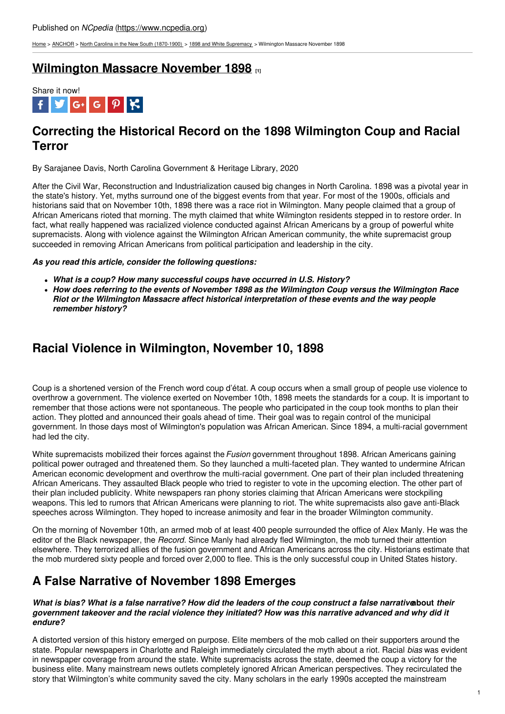[Home](https://www.ncpedia.org/) > [ANCHOR](https://www.ncpedia.org/anchor/anchor) > North Carolina in the New South [\(1870-1900\)](https://www.ncpedia.org/anchor/north-carolina-new-south) > 1898 and White [Supremacy](https://www.ncpedia.org/anchor/1898-and-white-supremacy) > Wilmington Massacre November 1898

### **[Wilmington](https://www.ncpedia.org/anchor/wilmington-massacre-correcting-the-record) Massacre November 1898 [1]**



# **Correcting the Historical Record on the 1898 Wilmington Coup and Racial Terror**

By Sarajanee Davis, North Carolina Government & Heritage Library, 2020

After the Civil War, Reconstruction and Industrialization caused big changes in North Carolina. 1898 was a pivotal year in the state's history. Yet, myths surround one of the biggest events from that year. For most of the 1900s, officials and historians said that on November 10th, 1898 there was a race riot in Wilmington. Many people claimed that a group of African Americans rioted that morning. The myth claimed that white Wilmington residents stepped in to restore order. In fact, what really happened was racialized [violence](http://www.social9.com) conducted against African Americans by a group of powerful white supremacists. Along with violence against the Wilmington African American community, the white supremacist group succeeded in removing African Americans from political participation and leadership in the city.

### *As you read this article, consider the following questions:*

- *What is a coup? How many successful coups have occurred in U.S. History?*
- *How does referring to the events of November 1898 as the Wilmington Coup versus the Wilmington Race Riot or the Wilmington Massacre affect historical interpretation of these events and the way people remember history?*

### **Racial Violence in Wilmington, November 10, 1898**

Coup is a shortened version of the French word coup d'état. A coup occurs when a small group of people use violence to overthrow a government. The violence exerted on November 10th, 1898 meets the standards for a coup. It is important to remember that those actions were not spontaneous. The people who participated in the coup took months to plan their action. They plotted and announced their goals ahead of time. Their goal was to regain control of the municipal government. In those days most of Wilmington's population was African American. Since 1894, a multi-racial government had led the city.

White supremacists mobilized their forces against the *Fusion* government throughout 1898. African Americans gaining political power outraged and threatened them. So they launched a multi-faceted plan. They wanted to undermine African American economic development and overthrow the multi-racial government. One part of their plan included threatening African Americans. They assaulted Black people who tried to register to vote in the upcoming election. The other part of their plan included publicity. White newspapers ran phony stories claiming that African Americans were stockpiling weapons. This led to rumors that African Americans were planning to riot. The white supremacists also gave anti-Black speeches across Wilmington. They hoped to increase animosity and fear in the broader Wilmington community.

On the morning of November 10th, an armed mob of at least 400 people surrounded the office of Alex Manly. He was the editor of the Black newspaper, the *Record*. Since Manly had already fled Wilmington, the mob turned their attention elsewhere. They terrorized allies of the fusion government and African Americans across the city. Historians estimate that the mob murdered sixty people and forced over 2,000 to flee. This is the only successful coup in United States history.

### **A False Narrative of November 1898 Emerges**

#### What is bias? What is a false narrative? How did the leaders of the coup construct a false narrative bout their government takeover and the racial violence they initiated? How was this narrative advanced and why did it *endure?*

A distorted version of this history emerged on purpose. Elite members of the mob called on their supporters around the state. Popular newspapers in Charlotte and Raleigh immediately circulated the myth about a riot. Racial *bias* was evident in newspaper coverage from around the state. White supremacists across the state, deemed the coup a victory for the business elite. Many mainstream news outlets completely ignored African American perspectives. They recirculated the story that Wilmington's white community saved the city. Many scholars in the early 1990s accepted the mainstream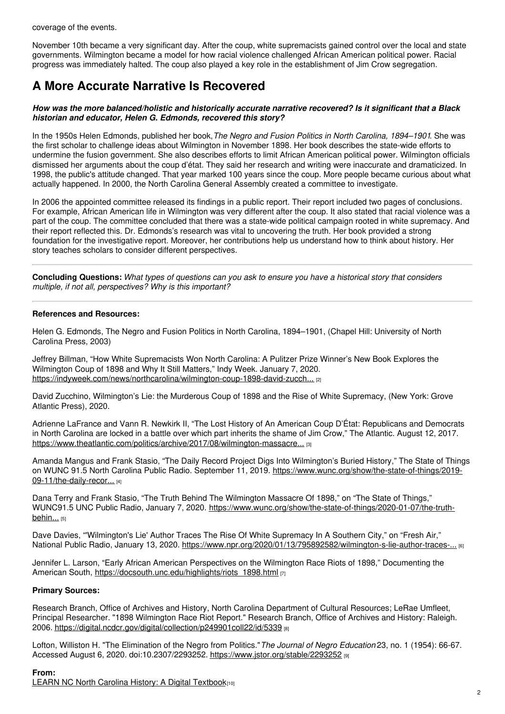coverage of the events.

November 10th became a very significant day. After the coup, white supremacists gained control over the local and state governments. Wilmington became a model for how racial violence challenged African American political power. Racial progress was immediately halted. The coup also played a key role in the establishment of Jim Crow segregation.

## **A More Accurate Narrative Is Recovered**

#### *How was the more balanced/holistic and historically accurate narrative recovered? Is it significant that a Black historian and educator, Helen G. Edmonds, recovered this story?*

In the 1950s Helen Edmonds, published her book,*The Negro and Fusion Politics in North Carolina, 1894–1901*. She was the first scholar to challenge ideas about Wilmington in November 1898. Her book describes the state-wide efforts to undermine the fusion government. She also describes efforts to limit African American political power. Wilmington officials dismissed her arguments about the coup d'état. They said her research and writing were inaccurate and dramaticized. In 1998, the public's attitude changed. That year marked 100 years since the coup. More people became curious about what actually happened. In 2000, the North Carolina General Assembly created a committee to investigate.

In 2006 the appointed committee released its findings in a public report. Their report included two pages of conclusions. For example, African American life in Wilmington was very different after the coup. It also stated that racial violence was a part of the coup. The committee concluded that there was a state-wide political campaign rooted in white supremacy. And their report reflected this. Dr. Edmonds's research was vital to uncovering the truth. Her book provided a strong foundation for the investigative report. Moreover, her contributions help us understand how to think about history. Her story teaches scholars to consider different perspectives.

Concluding Questions: What types of questions can you ask to ensure you have a historical story that considers *multiple, if not all, perspectives? Why is this important?*

### **References and Resources:**

Helen G. Edmonds, The Negro and Fusion Politics in North Carolina, 1894–1901, (Chapel Hill: University of North Carolina Press, 2003)

Jeffrey Billman, "How White Supremacists Won North Carolina: A Pulitzer Prize Winner's New Book Explores the Wilmington Coup of 1898 and Why It Still Matters," Indy Week. January 7, 2020. [https://indyweek.com/news/northcarolina/wilmington-coup-1898-david-zucch...](https://indyweek.com/news/northcarolina/wilmington-coup-1898-david-zucchino-wilmingtons-lie-north-carolina/) [2]

David Zucchino, Wilmington's Lie: the Murderous Coup of 1898 and the Rise of White Supremacy, (New York: Grove Atlantic Press), 2020.

Adrienne LaFrance and Vann R. Newkirk II, "The Lost History of An American Coup D'État: Republicans and Democrats in North Carolina are locked in a battle over which part inherits the shame of Jim Crow," The Atlantic. August 12, 2017. [https://www.theatlantic.com/politics/archive/2017/08/wilmington-massacre...](https://www.theatlantic.com/politics/archive/2017/08/wilmington-massacre/536457/) [3]

Amanda Mangus and Frank Stasio, "The Daily Record Project Digs Into Wilmington's Buried History," The State of Things on WUNC 91.5 North Carolina Public Radio. September 11, 2019. [https://www.wunc.org/show/the-state-of-things/2019-](https://www.wunc.org/show/the-state-of-things/2019-09-11/the-daily-record-project-digs-into-wilmingtons-buried-history) 09-11/the-daily-recor... [4]

Dana Terry and Frank Stasio, "The Truth Behind The Wilmington Massacre Of 1898," on "The State of Things," WUNC91.5 UNC Public Radio, January 7, 2020. [https://www.wunc.org/show/the-state-of-things/2020-01-07/the-truth](https://www.wunc.org/show/the-state-of-things/2020-01-07/the-truth-behind-the-wilmington-massacre-of-1898)behin... [5]

Dave Davies, "'Wilmington's Lie' Author Traces The Rise Of White Supremacy In A Southern City," on "Fresh Air," National Public Radio, January 13, 2020. [https://www.npr.org/2020/01/13/795892582/wilmington-s-lie-author-traces-...](https://www.npr.org/2020/01/13/795892582/wilmington-s-lie-author-traces-the-rise-of-white-supremacy-in-a-southern-city) [6]

Jennifer L. Larson, "Early African American Perspectives on the Wilmington Race Riots of 1898," Documenting the American South, [https://docsouth.unc.edu/highlights/riots\\_1898.html](https://docsouth.unc.edu/highlights/riots_1898.html) [7]

### **Primary Sources:**

Research Branch, Office of Archives and History, North Carolina Department of Cultural Resources; LeRae Umfleet, Principal Researcher. "1898 Wilmington Race Riot Report." Research Branch, Office of Archives and History: Raleigh. 2006. <https://digital.ncdcr.gov/digital/collection/p249901coll22/id/5339> [8]

Lofton, Williston H. "The Elimination of the Negro from Politics."*The Journal of Negro Education* 23, no. 1 (1954): 66-67. Accessed August 6, 2020. doi:10.2307/2293252. <https://www.jstor.org/stable/2293252> [9]

### **From:**

LEARN NC North Carolina History: A Digital [Textbook](https://www.ncpedia.org/category/entry-source/learn-nc)[10]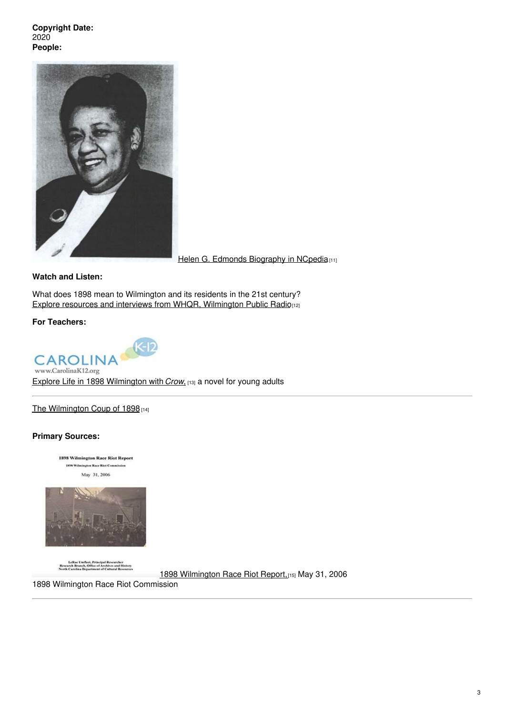**Copyright Date:** 2020 **People:**



Helen G. Edmonds [Biography](https://www.ncpedia.org/biography/edmonds-helen-grey) in NCpedia<sup>[11]</sup>

**Watch and Listen:**

What does 1898 mean to Wilmington and its residents in the 21st century? Explore resources and interviews from WHQR, [Wilmington](https://www.whqr.org/local/2020-06-06/understanding-1898-americas-only-coup-detat) Public Radio[12]

**For Teachers:**



Explore Life in 1898 [Wilmington](https://k12database.unc.edu/wp-content/uploads/sites/31/2013/05/1898Crow.pdf) with *Crow*, [13] a novel for young adults

The [Wilmington](https://k12database.unc.edu/wp-content/uploads/sites/31/2020/07/Wilmington1898Coup.pdf) Coup of 1898 [14]

#### **Primary Sources:**

1898 Wilmington Race Riot Report 1800 Wilmington Roor Riot Commi May 31, 2006



LeRae Unifiert, Principal Researcher<br>Research Branch, Office of Archives and History<br>North Carolina Department of Cultural Resources

1898 [Wilmington](https://digital.ncdcr.gov/digital/collection/p249901coll22/id/5335) Race Riot Report, [15] May 31, 2006

1898 Wilmington Race Riot Commission